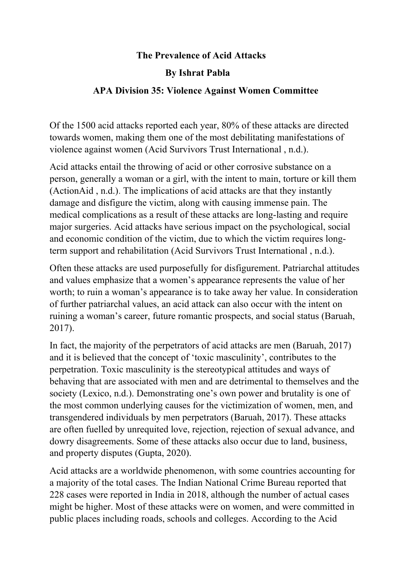## **The Prevalence of Acid Attacks**

## **By Ishrat Pabla**

## **APA Division 35: Violence Against Women Committee**

Of the 1500 acid attacks reported each year, 80% of these attacks are directed towards women, making them one of the most debilitating manifestations of violence against women (Acid Survivors Trust International , n.d.).

Acid attacks entail the throwing of acid or other corrosive substance on a person, generally a woman or a girl, with the intent to main, torture or kill them (ActionAid , n.d.). The implications of acid attacks are that they instantly damage and disfigure the victim, along with causing immense pain. The medical complications as a result of these attacks are long-lasting and require major surgeries. Acid attacks have serious impact on the psychological, social and economic condition of the victim, due to which the victim requires longterm support and rehabilitation (Acid Survivors Trust International , n.d.).

Often these attacks are used purposefully for disfigurement. Patriarchal attitudes and values emphasize that a women's appearance represents the value of her worth; to ruin a woman's appearance is to take away her value. In consideration of further patriarchal values, an acid attack can also occur with the intent on ruining a woman's career, future romantic prospects, and social status (Baruah, 2017).

In fact, the majority of the perpetrators of acid attacks are men (Baruah, 2017) and it is believed that the concept of 'toxic masculinity', contributes to the perpetration. Toxic masculinity is the stereotypical attitudes and ways of behaving that are associated with men and are detrimental to themselves and the society (Lexico, n.d.). Demonstrating one's own power and brutality is one of the most common underlying causes for the victimization of women, men, and transgendered individuals by men perpetrators (Baruah, 2017). These attacks are often fuelled by unrequited love, rejection, rejection of sexual advance, and dowry disagreements. Some of these attacks also occur due to land, business, and property disputes (Gupta, 2020).

Acid attacks are a worldwide phenomenon, with some countries accounting for a majority of the total cases. The Indian National Crime Bureau reported that 228 cases were reported in India in 2018, although the number of actual cases might be higher. Most of these attacks were on women, and were committed in public places including roads, schools and colleges. According to the Acid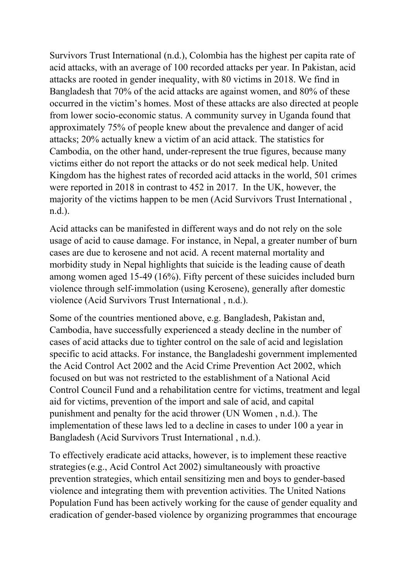Survivors Trust International (n.d.), Colombia has the highest per capita rate of acid attacks, with an average of 100 recorded attacks per year. In Pakistan, acid attacks are rooted in gender inequality, with 80 victims in 2018. We find in Bangladesh that 70% of the acid attacks are against women, and 80% of these occurred in the victim's homes. Most of these attacks are also directed at people from lower socio-economic status. A community survey in Uganda found that approximately 75% of people knew about the prevalence and danger of acid attacks; 20% actually knew a victim of an acid attack. The statistics for Cambodia, on the other hand, under-represent the true figures, because many victims either do not report the attacks or do not seek medical help. United Kingdom has the highest rates of recorded acid attacks in the world, 501 crimes were reported in 2018 in contrast to 452 in 2017. In the UK, however, the majority of the victims happen to be men (Acid Survivors Trust International , n.d.).

Acid attacks can be manifested in different ways and do not rely on the sole usage of acid to cause damage. For instance, in Nepal, a greater number of burn cases are due to kerosene and not acid. A recent maternal mortality and morbidity study in Nepal highlights that suicide is the leading cause of death among women aged 15-49 (16%). Fifty percent of these suicides included burn violence through self-immolation (using Kerosene), generally after domestic violence (Acid Survivors Trust International , n.d.).

Some of the countries mentioned above, e.g. Bangladesh, Pakistan and, Cambodia, have successfully experienced a steady decline in the number of cases of acid attacks due to tighter control on the sale of acid and legislation specific to acid attacks. For instance, the Bangladeshi government implemented the Acid Control Act 2002 and the Acid Crime Prevention Act 2002, which focused on but was not restricted to the establishment of a National Acid Control Council Fund and a rehabilitation centre for victims, treatment and legal aid for victims, prevention of the import and sale of acid, and capital punishment and penalty for the acid thrower (UN Women , n.d.). The implementation of these laws led to a decline in cases to under 100 a year in Bangladesh (Acid Survivors Trust International , n.d.).

To effectively eradicate acid attacks, however, is to implement these reactive strategies(e.g., Acid Control Act 2002) simultaneously with proactive prevention strategies, which entail sensitizing men and boys to gender-based violence and integrating them with prevention activities. The United Nations Population Fund has been actively working for the cause of gender equality and eradication of gender-based violence by organizing programmes that encourage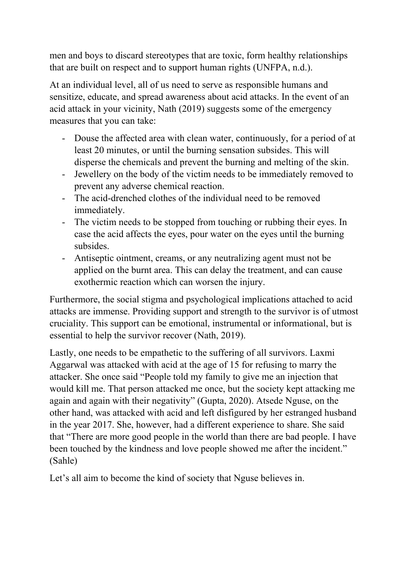men and boys to discard stereotypes that are toxic, form healthy relationships that are built on respect and to support human rights (UNFPA, n.d.).

At an individual level, all of us need to serve as responsible humans and sensitize, educate, and spread awareness about acid attacks. In the event of an acid attack in your vicinity, Nath (2019) suggests some of the emergency measures that you can take:

- Douse the affected area with clean water, continuously, for a period of at least 20 minutes, or until the burning sensation subsides. This will disperse the chemicals and prevent the burning and melting of the skin.
- Jewellery on the body of the victim needs to be immediately removed to prevent any adverse chemical reaction.
- The acid-drenched clothes of the individual need to be removed immediately.
- The victim needs to be stopped from touching or rubbing their eyes. In case the acid affects the eyes, pour water on the eyes until the burning subsides.
- Antiseptic ointment, creams, or any neutralizing agent must not be applied on the burnt area. This can delay the treatment, and can cause exothermic reaction which can worsen the injury.

Furthermore, the social stigma and psychological implications attached to acid attacks are immense. Providing support and strength to the survivor is of utmost cruciality. This support can be emotional, instrumental or informational, but is essential to help the survivor recover (Nath, 2019).

Lastly, one needs to be empathetic to the suffering of all survivors. Laxmi Aggarwal was attacked with acid at the age of 15 for refusing to marry the attacker. She once said "People told my family to give me an injection that would kill me. That person attacked me once, but the society kept attacking me again and again with their negativity" (Gupta, 2020). Atsede Nguse, on the other hand, was attacked with acid and left disfigured by her estranged husband in the year 2017. She, however, had a different experience to share. She said that "There are more good people in the world than there are bad people. I have been touched by the kindness and love people showed me after the incident." (Sahle)

Let's all aim to become the kind of society that Nguse believes in.